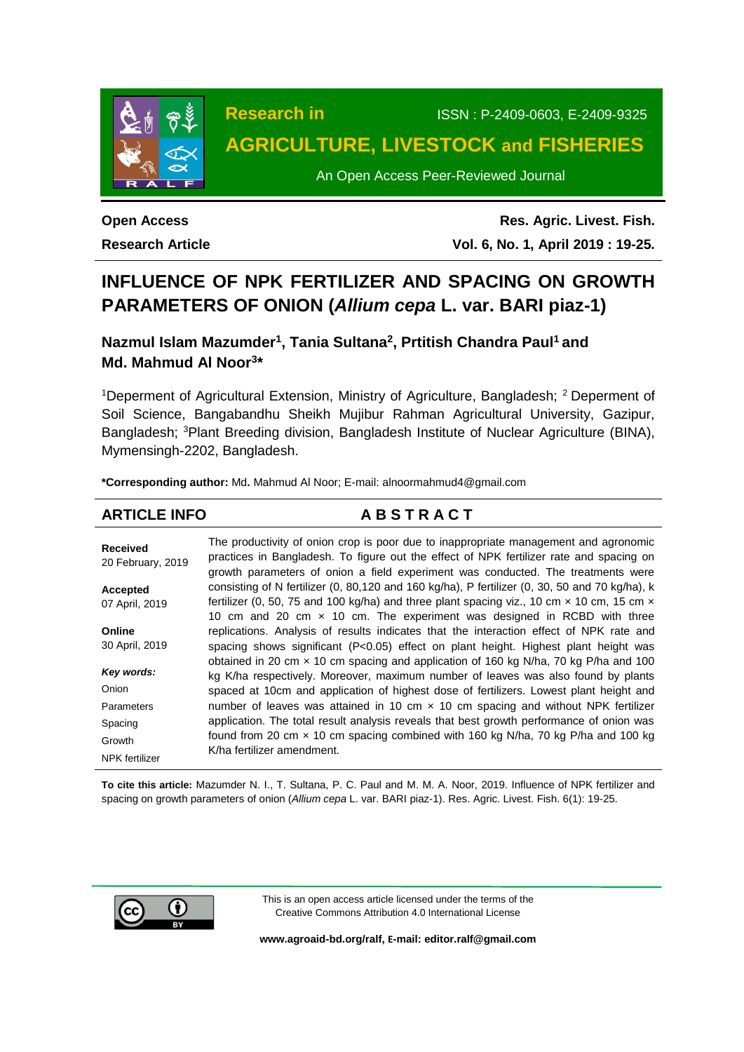

# **Research in** ISSN : P-2409-0603, E-2409-9325 **AGRICULTURE, LIVESTOCK and FISHERIES**

An Open Access Peer-Reviewed Journal

**Open Access Research Article**

**Res. Agric. Livest. Fish. Vol. 6, No. 1, April 2019 : 19-25.**

# **INFLUENCE OF NPK FERTILIZER AND SPACING ON GROWTH PARAMETERS OF ONION (***Allium cepa* **L. var. BARI piaz-1)**

**Nazmul Islam Mazumder<sup>1</sup> , Tania Sultana<sup>2</sup> , Prtitish Chandra Paul<sup>1</sup> and Md. Mahmud Al Noor<sup>3</sup> \***

<sup>1</sup>Deperment of Agricultural Extension, Ministry of Agriculture, Bangladesh; <sup>2</sup> Deperment of Soil Science, Bangabandhu Sheikh Mujibur Rahman Agricultural University, Gazipur, Bangladesh; <sup>3</sup>Plant Breeding division, Bangladesh Institute of Nuclear Agriculture (BINA), Mymensingh-2202, Bangladesh.

**\*Corresponding author:** Md**.** Mahmud Al Noor; E-mail: [alnoormahmud4@gmail.com](mailto:alnoormahmud4@gmail.com)

**ARTICLE INFO A B S T R A C T**

| <b>Received</b><br>20 February, 2019 | The productivity of onion crop is poor due to inappropriate management and agronomic<br>practices in Bangladesh. To figure out the effect of NPK fertilizer rate and spacing on<br>growth parameters of onion a field experiment was conducted. The treatments were |
|--------------------------------------|---------------------------------------------------------------------------------------------------------------------------------------------------------------------------------------------------------------------------------------------------------------------|
| Accepted                             | consisting of N fertilizer $(0, 80, 120$ and $160$ kg/ha), P fertilizer $(0, 30, 50$ and 70 kg/ha), k<br>fertilizer (0, 50, 75 and 100 kg/ha) and three plant spacing viz., 10 cm $\times$ 10 cm, 15 cm $\times$                                                    |
| 07 April, 2019                       | 10 cm and 20 cm $\times$ 10 cm. The experiment was designed in RCBD with three                                                                                                                                                                                      |
| Online                               | replications. Analysis of results indicates that the interaction effect of NPK rate and                                                                                                                                                                             |
| 30 April, 2019                       | spacing shows significant (P<0.05) effect on plant height. Highest plant height was                                                                                                                                                                                 |
| Key words:                           | obtained in 20 cm x 10 cm spacing and application of 160 kg N/ha, 70 kg P/ha and 100<br>kg K/ha respectively. Moreover, maximum number of leaves was also found by plants                                                                                           |
| Onion                                | spaced at 10cm and application of highest dose of fertilizers. Lowest plant height and                                                                                                                                                                              |
| Parameters                           | number of leaves was attained in 10 cm $\times$ 10 cm spacing and without NPK fertilizer                                                                                                                                                                            |
| Spacing                              | application. The total result analysis reveals that best growth performance of onion was                                                                                                                                                                            |
| Growth                               | found from 20 cm $\times$ 10 cm spacing combined with 160 kg N/ha, 70 kg P/ha and 100 kg                                                                                                                                                                            |
| <b>NPK</b> fertilizer                | K/ha fertilizer amendment.                                                                                                                                                                                                                                          |

**To cite this article:** Mazumder N. I., T. Sultana, P. C. Paul and M. M. A. Noor, 2019. Influence of NPK fertilizer and spacing on growth parameters of onion (*Allium cepa* L. var. BARI piaz-1). Res. Agric. Livest. Fish. 6(1): 19-25.



This is an open access article licensed under the terms of the Creative Commons Attribution 4.0 International License

**[www.agroaid-bd.org/ralf,](http://www.agroaid-bd.org/ralf) E-mail[: editor.ralf@gmail.com](mailto:editor.ralf@gmail.com)**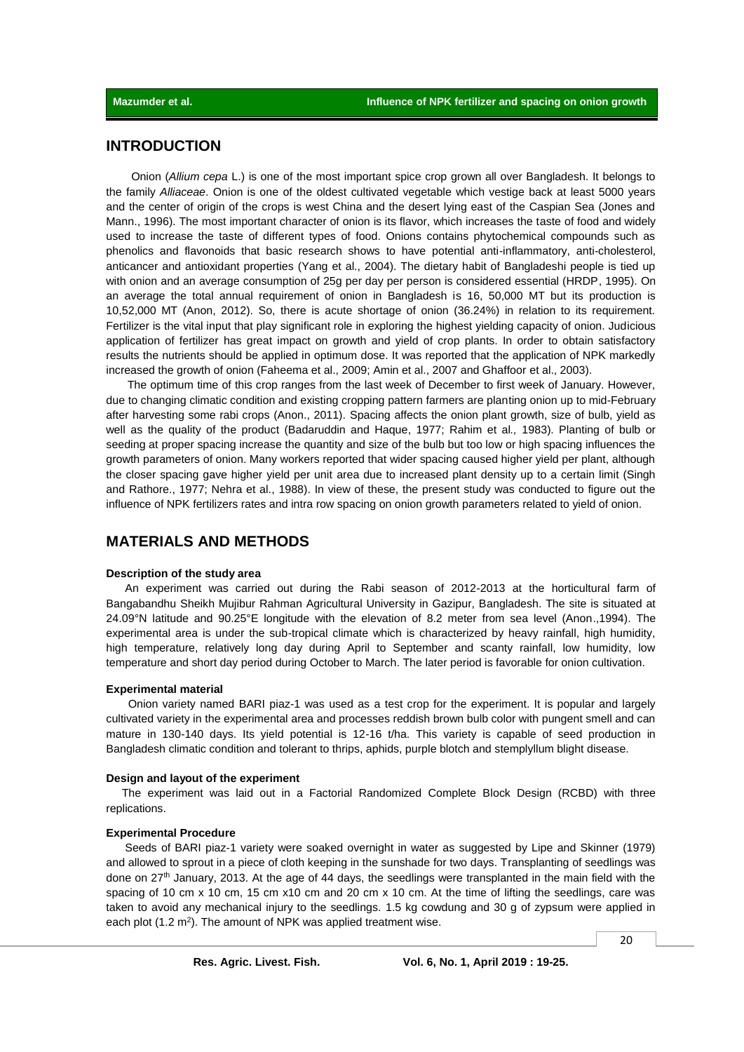# **INTRODUCTION**

 Onion (*Allium cepa* L.) is one of the most important spice crop grown all over Bangladesh. It belongs to the family *Alliaceae*. Onion is one of the oldest cultivated vegetable which vestige back at least 5000 years and the center of origin of the crops is west China and the desert lying east of the Caspian Sea (Jones and Mann., 1996). The most important character of onion is its flavor, which increases the taste of food and widely used to increase the taste of different types of food. Onions contains phytochemical compounds such as phenolics and flavonoids that basic research shows to have potential anti-inflammatory, anti-cholesterol, anticancer and antioxidant properties (Yang et al., 2004). The dietary habit of Bangladeshi people is tied up with onion and an average consumption of 25g per day per person is considered essential (HRDP, 1995). On an average the total annual requirement of onion in Bangladesh is 16, 50,000 MT but its production is 10,52,000 MT (Anon, 2012). So, there is acute shortage of onion (36.24%) in relation to its requirement. Fertilizer is the vital input that play significant role in exploring the highest yielding capacity of onion. Judicious application of fertilizer has great impact on growth and yield of crop plants. In order to obtain satisfactory results the nutrients should be applied in optimum dose. It was reported that the application of NPK markedly increased the growth of onion (Faheema et al., 2009; Amin et al., 2007 and Ghaffoor et al., 2003).

The optimum time of this crop ranges from the last week of December to first week of January. However, due to changing climatic condition and existing cropping pattern farmers are planting onion up to mid-February after harvesting some rabi crops (Anon., 2011). Spacing affects the onion plant growth, size of bulb, yield as well as the quality of the product (Badaruddin and Haque, 1977; Rahim et al*.,* 1983). Planting of bulb or seeding at proper spacing increase the quantity and size of the bulb but too low or high spacing influences the growth parameters of onion. Many workers reported that wider spacing caused higher yield per plant, although the closer spacing gave higher yield per unit area due to increased plant density up to a certain limit (Singh and Rathore., 1977; Nehra et al., 1988). In view of these, the present study was conducted to figure out the influence of NPK fertilizers rates and intra row spacing on onion growth parameters related to yield of onion.

# **MATERIALS AND METHODS**

#### **Description of the study area**

 An experiment was carried out during the Rabi season of 2012-2013 at the horticultural farm of Bangabandhu Sheikh Mujibur Rahman Agricultural University in Gazipur, Bangladesh. The site is situated at 24.09°N latitude and 90.25°E longitude with the elevation of 8.2 meter from sea level (Anon.,1994). The experimental area is under the sub-tropical climate which is characterized by heavy rainfall, high humidity, high temperature, relatively long day during April to September and scanty rainfall, low humidity, low temperature and short day period during October to March. The later period is favorable for onion cultivation.

### **Experimental material**

 Onion variety named BARI piaz-1 was used as a test crop for the experiment. It is popular and largely cultivated variety in the experimental area and processes reddish brown bulb color with pungent smell and can mature in 130-140 days. Its yield potential is 12-16 t/ha. This variety is capable of seed production in Bangladesh climatic condition and tolerant to thrips, aphids, purple blotch and stemplyllum blight disease.

#### **Design and layout of the experiment**

 The experiment was laid out in a Factorial Randomized Complete Block Design (RCBD) with three replications.

#### **Experimental Procedure**

 Seeds of BARI piaz-1 variety were soaked overnight in water as suggested by Lipe and Skinner (1979) and allowed to sprout in a piece of cloth keeping in the sunshade for two days. Transplanting of seedlings was done on 27th January, 2013. At the age of 44 days, the seedlings were transplanted in the main field with the spacing of 10 cm x 10 cm, 15 cm x10 cm and 20 cm x 10 cm. At the time of lifting the seedlings, care was taken to avoid any mechanical injury to the seedlings. 1.5 kg cowdung and 30 g of zypsum were applied in each plot  $(1.2 \text{ m}^2)$ . The amount of NPK was applied treatment wise.

20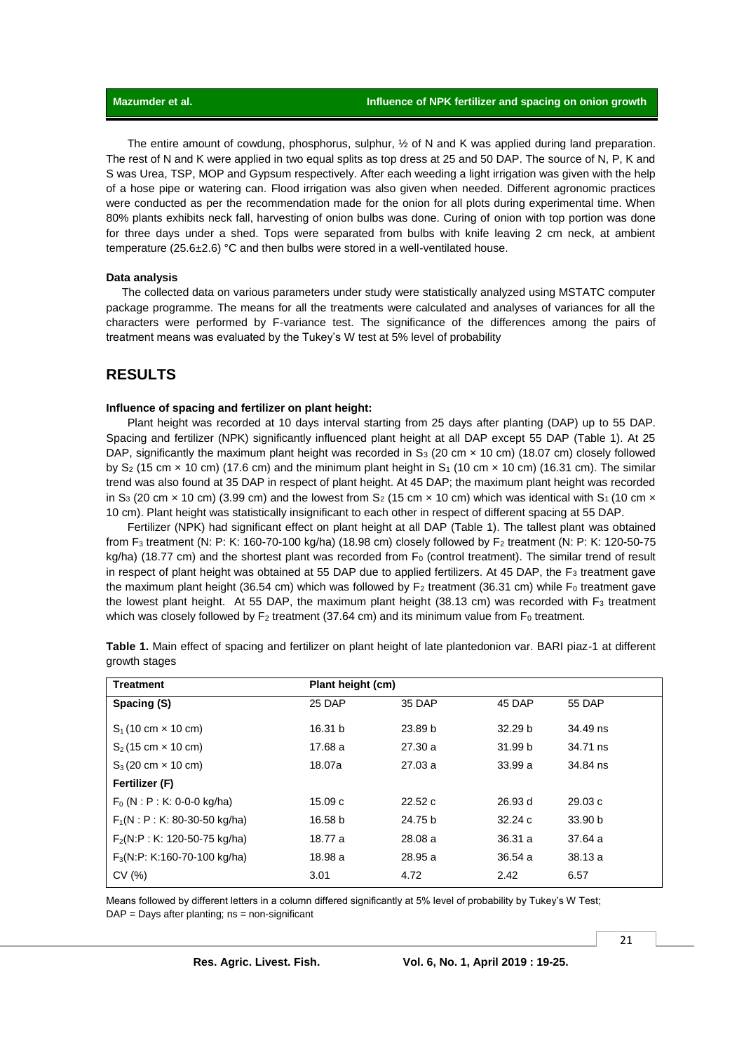The entire amount of cowdung, phosphorus, sulphur, ½ of N and K was applied during land preparation. The rest of N and K were applied in two equal splits as top dress at 25 and 50 DAP. The source of N, P, K and S was Urea, TSP, MOP and Gypsum respectively. After each weeding a light irrigation was given with the help of a hose pipe or watering can. Flood irrigation was also given when needed. Different agronomic practices were conducted as per the recommendation made for the onion for all plots during experimental time. When 80% plants exhibits neck fall, harvesting of onion bulbs was done. Curing of onion with top portion was done for three days under a shed. Tops were separated from bulbs with knife leaving 2 cm neck, at ambient temperature (25.6±2.6) °C and then bulbs were stored in a well-ventilated house.

### **Data analysis**

 The collected data on various parameters under study were statistically analyzed using MSTATC computer package programme. The means for all the treatments were calculated and analyses of variances for all the characters were performed by F-variance test. The significance of the differences among the pairs of treatment means was evaluated by the Tukey's W test at 5% level of probability

# **RESULTS**

# **Influence of spacing and fertilizer on plant height:**

Plant height was recorded at 10 days interval starting from 25 days after planting (DAP) up to 55 DAP. Spacing and fertilizer (NPK) significantly influenced plant height at all DAP except 55 DAP (Table 1). At 25 DAP, significantly the maximum plant height was recorded in  $S_3$  (20 cm  $\times$  10 cm) (18.07 cm) closely followed by S<sub>2</sub> (15 cm  $\times$  10 cm) (17.6 cm) and the minimum plant height in S<sub>1</sub> (10 cm  $\times$  10 cm) (16.31 cm). The similar trend was also found at 35 DAP in respect of plant height. At 45 DAP; the maximum plant height was recorded in S<sub>3</sub> (20 cm  $\times$  10 cm) (3.99 cm) and the lowest from S<sub>2</sub> (15 cm  $\times$  10 cm) which was identical with S<sub>1</sub> (10 cm  $\times$ 10 cm). Plant height was statistically insignificant to each other in respect of different spacing at 55 DAP.

Fertilizer (NPK) had significant effect on plant height at all DAP (Table 1). The tallest plant was obtained from F<sup>3</sup> treatment (N: P: K: 160-70-100 kg/ha) (18.98 cm) closely followed by F<sup>2</sup> treatment (N: P: K: 120-50-75  $kq/ha$ ) (18.77 cm) and the shortest plant was recorded from  $F<sub>0</sub>$  (control treatment). The similar trend of result in respect of plant height was obtained at 55 DAP due to applied fertilizers. At 45 DAP, the  $F_3$  treatment gave the maximum plant height (36.54 cm) which was followed by  $F_2$  treatment (36.31 cm) while  $F_0$  treatment gave the lowest plant height. At 55 DAP, the maximum plant height  $(38.13 \text{ cm})$  was recorded with F<sub>3</sub> treatment which was closely followed by  $F_2$  treatment (37.64 cm) and its minimum value from  $F_0$  treatment.

| <b>Treatment</b>                          | Plant height (cm) |         |                    |          |
|-------------------------------------------|-------------------|---------|--------------------|----------|
| Spacing (S)                               | 25 DAP            | 35 DAP  | 45 DAP             | 55 DAP   |
| $S_1$ (10 cm $\times$ 10 cm)              | 16.31 b           | 23.89 b | 32.29 <sub>b</sub> | 34.49 ns |
| $S_2$ (15 cm $\times$ 10 cm)              | 17.68 a           | 27.30a  | 31.99 b            | 34.71 ns |
| $S_3(20 \text{ cm} \times 10 \text{ cm})$ | 18.07a            | 27.03a  | 33.99a             | 34.84 ns |
| Fertilizer (F)                            |                   |         |                    |          |
| $F_0$ (N : P : K: 0-0-0 kg/ha)            | 15.09c            | 22.52c  | 26.93 d            | 29.03c   |
| $F_1(N : P : K: 80-30-50$ kg/ha)          | 16.58 b           | 24.75 b | 32.24c             | 33.90 b  |
| $F2(N:P: K: 120-50-75 kg/ha)$             | 18.77 a           | 28.08 a | 36.31a             | 37.64 a  |
| $F_3(N:P: K:160-70-100 \text{ kg/ha})$    | 18.98 a           | 28.95 a | 36.54a             | 38.13a   |
| CV(%)                                     | 3.01              | 4.72    | 2.42               | 6.57     |

**Table 1.** Main effect of spacing and fertilizer on plant height of late plantedonion var. BARI piaz-1 at different growth stages

Means followed by different letters in a column differed significantly at 5% level of probability by Tukey's W Test;  $DAP =$  Days after planting; ns = non-significant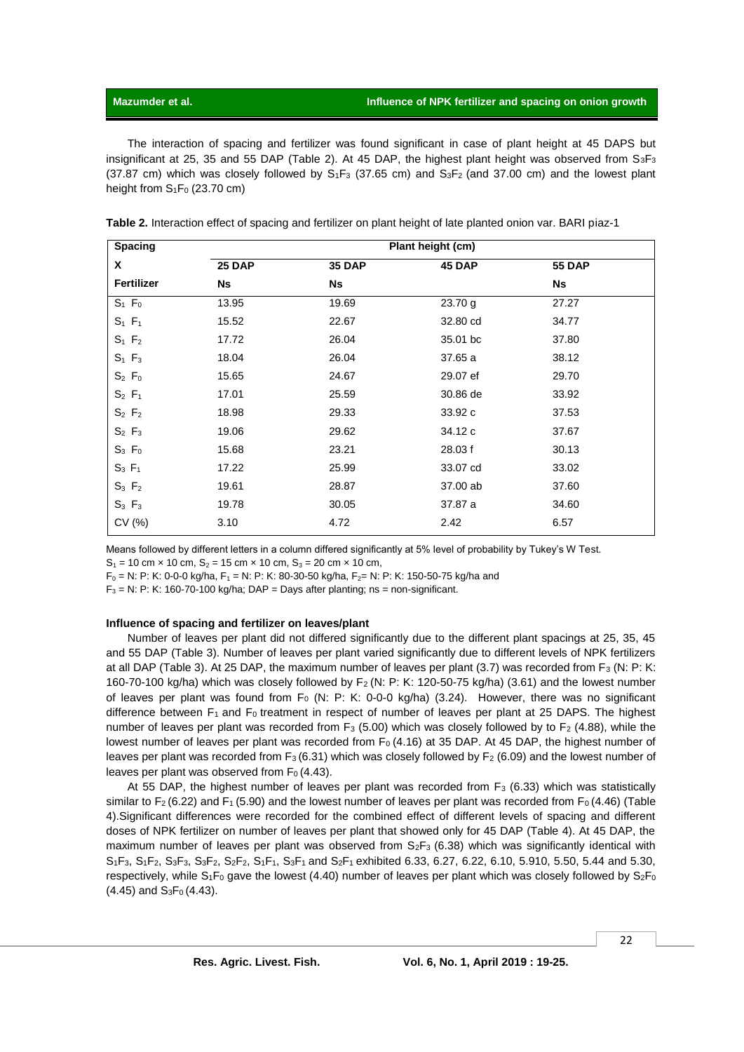# **Mazumder** et al. **Influence of NPK fertilizer and spacing on onion growth**

The interaction of spacing and fertilizer was found significant in case of plant height at 45 DAPS but insignificant at 25, 35 and 55 DAP (Table 2). At 45 DAP, the highest plant height was observed from  $S_3F_3$  $(37.87 \text{ cm})$  which was closely followed by  $S_1F_3$  (37.65 cm) and  $S_3F_2$  (and 37.00 cm) and the lowest plant height from  $S_1F_0$  (23.70 cm)

| Plant height (cm) |               |          |               |  |
|-------------------|---------------|----------|---------------|--|
| <b>25 DAP</b>     | <b>35 DAP</b> | 45 DAP   | <b>55 DAP</b> |  |
| <b>Ns</b>         | <b>Ns</b>     |          | <b>Ns</b>     |  |
| 13.95             | 19.69         | 23.70 g  | 27.27         |  |
| 15.52             | 22.67         | 32.80 cd | 34.77         |  |
| 17.72             | 26.04         | 35.01 bc | 37.80         |  |
| 18.04             | 26.04         | 37.65 a  | 38.12         |  |
| 15.65             | 24.67         | 29.07 ef | 29.70         |  |
| 17.01             | 25.59         | 30.86 de | 33.92         |  |
| 18.98             | 29.33         | 33.92 c  | 37.53         |  |
| 19.06             | 29.62         | 34.12 c  | 37.67         |  |
| 15.68             | 23.21         | 28.03 f  | 30.13         |  |
| 17.22             | 25.99         | 33.07 cd | 33.02         |  |
| 19.61             | 28.87         | 37.00 ab | 37.60         |  |
| 19.78             | 30.05         | 37.87 a  | 34.60         |  |
| 3.10              | 4.72          | 2.42     | 6.57          |  |
|                   |               |          |               |  |

**Table 2.** Interaction effect of spacing and fertilizer on plant height of late planted onion var. BARI piaz-1

Means followed by different letters in a column differed significantly at 5% level of probability by Tukey's W Test.

 $S_1 = 10$  cm  $\times$  10 cm,  $S_2 = 15$  cm  $\times$  10 cm,  $S_3 = 20$  cm  $\times$  10 cm,

 $F_0 = N$ : P: K: 0-0-0 kg/ha, F<sub>1</sub> = N: P: K: 80-30-50 kg/ha, F<sub>2</sub> = N: P: K: 150-50-75 kg/ha and

 $F_3$  = N: P: K: 160-70-100 kg/ha; DAP = Days after planting; ns = non-significant.

## **Influence of spacing and fertilizer on leaves/plant**

Number of leaves per plant did not differed significantly due to the different plant spacings at 25, 35, 45 and 55 DAP (Table 3). Number of leaves per plant varied significantly due to different levels of NPK fertilizers at all DAP (Table 3). At 25 DAP, the maximum number of leaves per plant (3.7) was recorded from F<sub>3</sub> (N: P: K: 160-70-100 kg/ha) which was closely followed by  $F_2$  (N: P: K: 120-50-75 kg/ha) (3.61) and the lowest number of leaves per plant was found from  $F_0$  (N: P: K: 0-0-0 kg/ha) (3.24). However, there was no significant difference between  $F_1$  and  $F_0$  treatment in respect of number of leaves per plant at 25 DAPS. The highest number of leaves per plant was recorded from  $F_3$  (5.00) which was closely followed by to  $F_2$  (4.88), while the lowest number of leaves per plant was recorded from  $F_0$  (4.16) at 35 DAP. At 45 DAP, the highest number of leaves per plant was recorded from  $F_3$  (6.31) which was closely followed by  $F_2$  (6.09) and the lowest number of leaves per plant was observed from  $F_0$  (4.43).

At 55 DAP, the highest number of leaves per plant was recorded from  $F_3$  (6.33) which was statistically similar to F<sub>2</sub> (6.22) and F<sub>1</sub> (5.90) and the lowest number of leaves per plant was recorded from F<sub>0</sub> (4.46) (Table 4).Significant differences were recorded for the combined effect of different levels of spacing and different doses of NPK fertilizer on number of leaves per plant that showed only for 45 DAP (Table 4). At 45 DAP, the maximum number of leaves per plant was observed from  $S_2F_3$  (6.38) which was significantly identical with S1F3, S1F2, S3F3, S3F2, S2F2, S1F1, S3F1 and S2F1 exhibited 6.33, 6.27, 6.22, 6.10, 5.910, 5.50, 5.44 and 5.30, respectively, while  $S_1F_0$  gave the lowest (4.40) number of leaves per plant which was closely followed by  $S_2F_0$  $(4.45)$  and  $S_3F_0(4.43)$ .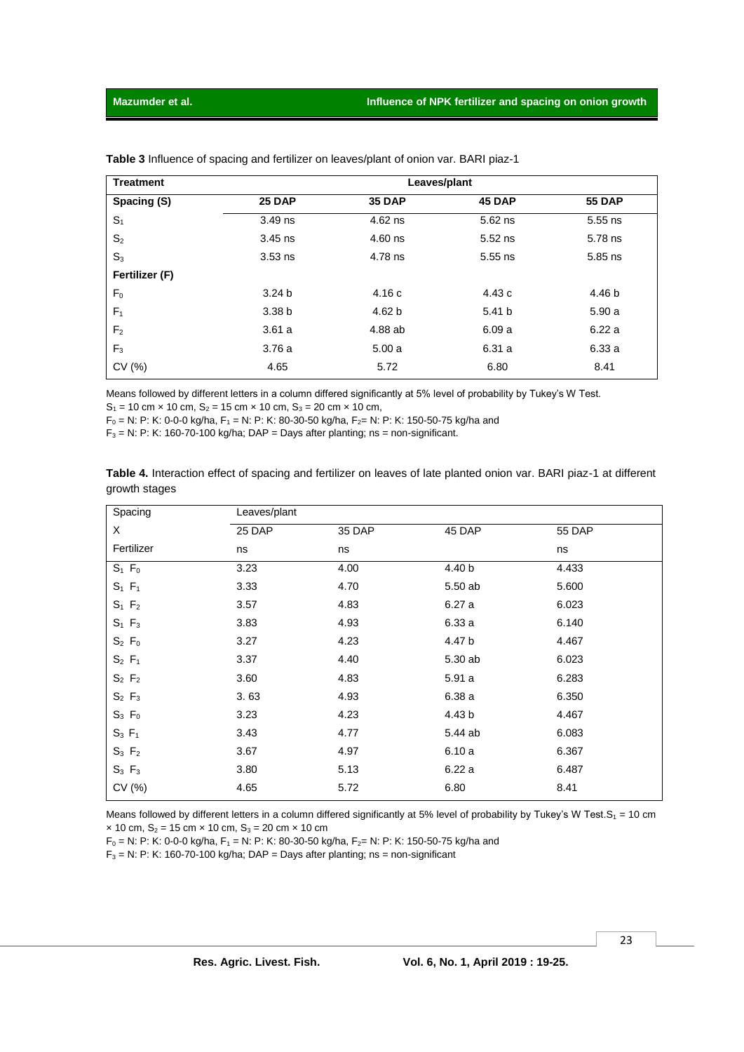| <b>Treatment</b> | Leaves/plant      |               |           |               |
|------------------|-------------------|---------------|-----------|---------------|
| Spacing (S)      | <b>25 DAP</b>     | <b>35 DAP</b> | 45 DAP    | <b>55 DAP</b> |
| S <sub>1</sub>   | 3.49 ns           | 4.62 ns       | $5.62$ ns | $5.55$ ns     |
| S <sub>2</sub>   | $3.45$ ns         | 4.60 ns       | $5.52$ ns | 5.78 ns       |
| $S_3$            | $3.53$ ns         | 4.78 ns       | $5.55$ ns | 5.85 ns       |
| Fertilizer (F)   |                   |               |           |               |
| F <sub>0</sub>   | 3.24 <sub>b</sub> | 4.16c         | 4.43 c    | 4.46 b        |
| F <sub>1</sub>   | 3.38 <sub>b</sub> | 4.62 b        | 5.41 b    | 5.90a         |
| F <sub>2</sub>   | 3.61a             | 4.88 ab       | 6.09a     | 6.22a         |
| $F_3$            | 3.76a             | 5.00a         | 6.31a     | 6.33a         |
| CV(%)            | 4.65              | 5.72          | 6.80      | 8.41          |

**Table 3** Influence of spacing and fertilizer on leaves/plant of onion var. BARI piaz-1

Means followed by different letters in a column differed significantly at 5% level of probability by Tukey's W Test.

 $S_1 = 10$  cm  $\times$  10 cm,  $S_2 = 15$  cm  $\times$  10 cm,  $S_3 = 20$  cm  $\times$  10 cm,

 $F_0 = N$ : P: K: 0-0-0 kg/ha, F<sub>1</sub> = N: P: K: 80-30-50 kg/ha, F<sub>2</sub>= N: P: K: 150-50-75 kg/ha and

 $F_3$  = N: P: K: 160-70-100 kg/ha; DAP = Days after planting; ns = non-significant.

| growth stages |              |      |           |                          |
|---------------|--------------|------|-----------|--------------------------|
| Spacing       | Leaves/plant |      |           |                          |
| $\checkmark$  | 2500         | 2500 | $AF$ $N0$ | $EF$ $\bigcap$ $\bigcap$ |

**Table 4.** Interaction effect of spacing and fertilizer on leaves of late planted onion var. BARI piaz-1 at different

| -r----- 9   | - - - - - - - - - - - - - - - - |        |         |               |  |
|-------------|---------------------------------|--------|---------|---------------|--|
| X           | 25 DAP                          | 35 DAP | 45 DAP  | <b>55 DAP</b> |  |
| Fertilizer  | ns                              | ns     |         | ns            |  |
| $S_1$ $F_0$ | 3.23                            | 4.00   | 4.40 b  | 4.433         |  |
| $S_1$ $F_1$ | 3.33                            | 4.70   | 5.50 ab | 5.600         |  |
| $S_1$ $F_2$ | 3.57                            | 4.83   | 6.27a   | 6.023         |  |
| $S_1$ $F_3$ | 3.83                            | 4.93   | 6.33a   | 6.140         |  |
| $S_2 F_0$   | 3.27                            | 4.23   | 4.47 b  | 4.467         |  |
| $S_2$ $F_1$ | 3.37                            | 4.40   | 5.30 ab | 6.023         |  |
| $S_2$ $F_2$ | 3.60                            | 4.83   | 5.91a   | 6.283         |  |
| $S_2$ $F_3$ | 3.63                            | 4.93   | 6.38a   | 6.350         |  |
| $S_3$ $F_0$ | 3.23                            | 4.23   | 4.43 b  | 4.467         |  |
| $S_3 F_1$   | 3.43                            | 4.77   | 5.44 ab | 6.083         |  |
| $S_3$ $F_2$ | 3.67                            | 4.97   | 6.10a   | 6.367         |  |
| $S_3$ $F_3$ | 3.80                            | 5.13   | 6.22a   | 6.487         |  |
| CV (%)      | 4.65                            | 5.72   | 6.80    | 8.41          |  |
|             |                                 |        |         |               |  |

Means followed by different letters in a column differed significantly at 5% level of probability by Tukey's W Test.S<sub>1</sub> = 10 cm  $\times$  10 cm, S<sub>2</sub> = 15 cm  $\times$  10 cm, S<sub>3</sub> = 20 cm  $\times$  10 cm

 $F_0 = N$ : P: K: 0-0-0 kg/ha, F<sub>1</sub> = N: P: K: 80-30-50 kg/ha, F<sub>2</sub>= N: P: K: 150-50-75 kg/ha and

 $F_3$  = N: P: K: 160-70-100 kg/ha; DAP = Days after planting; ns = non-significant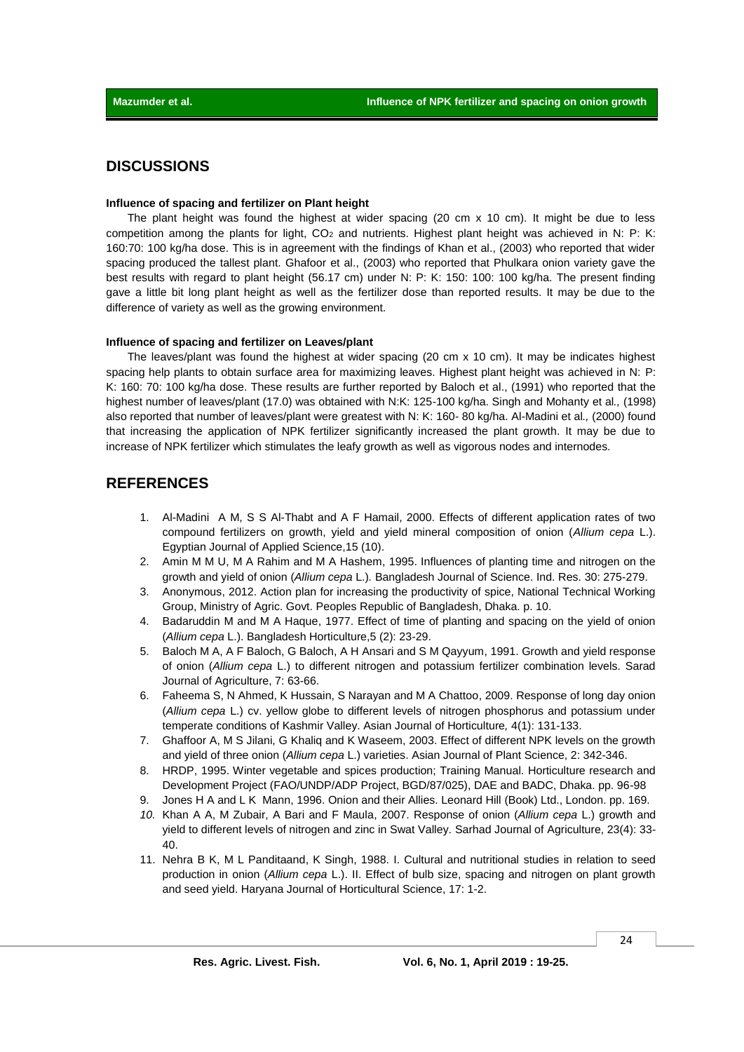# **DISCUSSIONS**

### **Influence of spacing and fertilizer on Plant height**

The plant height was found the highest at wider spacing (20 cm x 10 cm). It might be due to less competition among the plants for light, CO<sub>2</sub> and nutrients. Highest plant height was achieved in N: P: K: 160:70: 100 kg/ha dose. This is in agreement with the findings of Khan et al., (2003) who reported that wider spacing produced the tallest plant. Ghafoor et al., (2003) who reported that Phulkara onion variety gave the best results with regard to plant height (56.17 cm) under N: P: K: 150: 100: 100 kg/ha. The present finding gave a little bit long plant height as well as the fertilizer dose than reported results. It may be due to the difference of variety as well as the growing environment.

#### **Influence of spacing and fertilizer on Leaves/plant**

The leaves/plant was found the highest at wider spacing  $(20 \text{ cm} \times 10 \text{ cm})$ . It may be indicates highest spacing help plants to obtain surface area for maximizing leaves. Highest plant height was achieved in N: P: K: 160: 70: 100 kg/ha dose. These results are further reported by Baloch et al., (1991) who reported that the highest number of leaves/plant (17.0) was obtained with N:K: 125-100 kg/ha. Singh and Mohanty et al*.,* (1998) also reported that number of leaves/plant were greatest with N: K: 160- 80 kg/ha. Al-Madini et al*.,* (2000) found that increasing the application of NPK fertilizer significantly increased the plant growth. It may be due to increase of NPK fertilizer which stimulates the leafy growth as well as vigorous nodes and internodes.

# **REFERENCES**

- 1. Al-Madini A M, S S Al-Thabt and A F Hamail, 2000. Effects of different application rates of two compound fertilizers on growth, yield and yield mineral composition of onion (*Allium cepa* L.). Egyptian Journal of Applied Science,15 (10).
- 2. Amin M M U, M A Rahim and M A Hashem, 1995. Influences of planting time and nitrogen on the growth and yield of onion (*Allium cepa* L.)*.* Bangladesh Journal of Science. Ind. Res. 30: 275-279.
- 3. Anonymous, 2012. Action plan for increasing the productivity of spice, National Technical Working Group, Ministry of Agric. Govt. Peoples Republic of Bangladesh, Dhaka. p. 10.
- 4. Badaruddin M and M A Haque, 1977. Effect of time of planting and spacing on the yield of onion (*Allium cepa* L.). Bangladesh Horticulture,5 (2): 23-29.
- 5. Baloch M A, A F Baloch, G Baloch, A H Ansari and S M Qayyum, 1991. Growth and yield response of onion (*Allium cepa* L.) to different nitrogen and potassium fertilizer combination levels. Sarad Journal of Agriculture, 7: 63-66.
- 6. Faheema S, N Ahmed, K Hussain, S Narayan and M A Chattoo, 2009. Response of long day onion (*Allium cepa* L.) cv. yellow globe to different levels of nitrogen phosphorus and potassium under temperate conditions of Kashmir Valley. Asian Journal of Horticulture*,* 4(1): 131-133.
- 7. Ghaffoor A, M S Jilani, G Khaliq and K Waseem, 2003. Effect of different NPK levels on the growth and yield of three onion (*Allium cepa* L.) varieties. Asian Journal of Plant Science, 2: 342-346.
- 8. HRDP, 1995. Winter vegetable and spices production; Training Manual. Horticulture research and Development Project (FAO/UNDP/ADP Project, BGD/87/025), DAE and BADC, Dhaka. pp. 96-98
- 9. Jones H A and L K Mann, 1996. Onion and their Allies. Leonard Hill (Book) Ltd., London. pp. 169.
- *10.* Khan A A, M Zubair, A Bari and F Maula, 2007. Response of onion (*Allium cepa* L.) growth and yield to different levels of nitrogen and zinc in Swat Valley. Sarhad Journal of Agriculture, 23(4): 33- 40.
- 11. Nehra B K, M L Panditaand, K Singh, 1988. I. Cultural and nutritional studies in relation to seed production in onion (*Allium cepa* L.). II. Effect of bulb size, spacing and nitrogen on plant growth and seed yield. Haryana Journal of Horticultural Science, 17: 1-2.